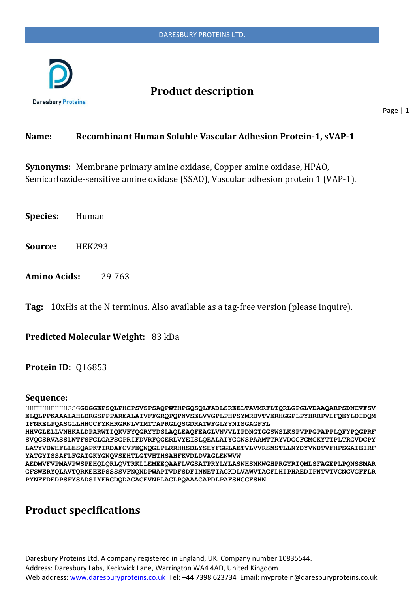

# **Product description**

Page | 1

### **Name: Recombinant Human Soluble Vascular Adhesion Protein-1, sVAP-1**

**Synonyms:** Membrane primary amine oxidase, Copper amine oxidase, HPAO, Semicarbazide-sensitive amine oxidase (SSAO), Vascular adhesion protein 1 (VAP-1).

**Species:** Human

**Source:** HEK293

**Amino Acids:** 29-763

**Tag:** 10xHis at the N terminus. Also available as a tag-free version (please inquire).

**Predicted Molecular Weight:** 83 kDa

#### **Protein ID:** Q16853

#### **Sequence:**

HHHHHHHHHHGSG**GDGGEPSQLPHCPSVSPSAQPWTHPGQSQLFADLSREELTAVMRFLTQRLGPGLVDAAQARPSDNCVFSV ELQLPPKAAALAHLDRGSPPPAREALAIVFFGRQPQPNVSELVVGPLPHPSYMRDVTVERHGGPLPYHRRPVLFQEYLDIDQM IFNRELPQASGLLHHCCFYKHRGRNLVTMTTAPRGLQSGDRATWFGLYYNISGAGFFL**

**HHVGLELLVNHKALDPARWTIQKVFYQGRYYDSLAQLEAQFEAGLVNVVLIPDNGTGGSWSLKSPVPPGPAPPLQFYPQGPRF SVQGSRVASSLWTFSFGLGAFSGPRIFDVRFQGERLVYEISLQEALAIYGGNSPAAMTTRYVDGGFGMGKYTTPLTRGVDCPY LATYVDWHFLLESQAPKTIRDAFCVFEQNQGLPLRRHHSDLYSHYFGGLAETVLVVRSMSTLLNYDYVWDTVFHPSGAIEIRF YATGYISSAFLFGATGKYGNQVSEHTLGTVHTHSAHFKVDLDVAGLENWVW**

**AEDMVFVPMAVPWSPEHQLQRLQVTRKLLEMEEQAAFLVGSATPRYLYLASNHSNKWGHPRGYRIQMLSFAGEPLPQNSSMAR GFSWERYQLAVTQRKEEEPSSSSVFNQNDPWAPTVDFSDFINNETIAGKDLVAWVTAGFLHIPHAEDIPNTVTVGNGVGFFLR PYNFFDEDPSFYSADSIYFRGDQDAGACEVNPLACLPQAAACAPDLPAFSHGGFSHN**

# **Product specifications**

Daresbury Proteins Ltd. A company registered in England, UK. Company number 10835544. Address: Daresbury Labs, Keckwick Lane, Warrington WA4 4AD, United Kingdom. Web address[: www.daresburyproteins.co.uk](http://www.daresburyproteins.co.uk/) Tel: +44 7398 623734 Email: myprotein@daresburyproteins.co.uk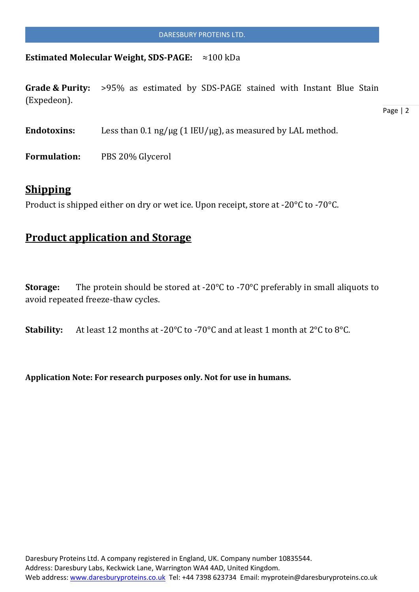#### **Estimated Molecular Weight, SDS-PAGE:** ≈100 kDa

**Grade & Purity:** >95% as estimated by SDS-PAGE stained with Instant Blue Stain (Expedeon).

Endotoxins: Less than  $0.1$  ng/ $\mu$ g (1 IEU/ $\mu$ g), as measured by LAL method.

**Formulation:** PBS 20% Glycerol

### **Shipping**

Product is shipped either on dry or wet ice. Upon receipt, store at -20°C to -70°C.

### **Product application and Storage**

**Storage:** The protein should be stored at -20°C to -70°C preferably in small aliquots to avoid repeated freeze-thaw cycles.

**Stability:** At least 12 months at -20°C to -70°C and at least 1 month at 2°C to 8°C.

**Application Note: For research purposes only. Not for use in humans.**

Page | 2